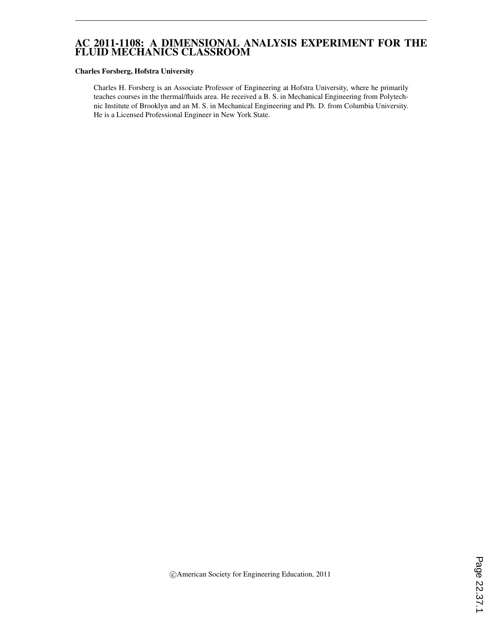# AC 2011-1108: A DIMENSIONAL ANALYSIS EXPERIMENT FOR THE FLUID MECHANICS CLASSROOM

#### Charles Forsberg, Hofstra University

Charles H. Forsberg is an Associate Professor of Engineering at Hofstra University, where he primarily teaches courses in the thermal/fluids area. He received a B. S. in Mechanical Engineering from Polytechnic Institute of Brooklyn and an M. S. in Mechanical Engineering and Ph. D. from Columbia University. He is a Licensed Professional Engineer in New York State.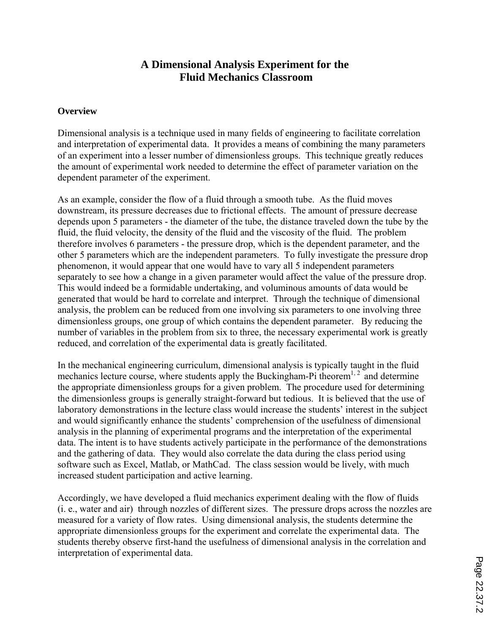# **A Dimensional Analysis Experiment for the Fluid Mechanics Classroom**

# **Overview**

Dimensional analysis is a technique used in many fields of engineering to facilitate correlation and interpretation of experimental data. It provides a means of combining the many parameters of an experiment into a lesser number of dimensionless groups. This technique greatly reduces the amount of experimental work needed to determine the effect of parameter variation on the dependent parameter of the experiment.

As an example, consider the flow of a fluid through a smooth tube. As the fluid moves downstream, its pressure decreases due to frictional effects. The amount of pressure decrease depends upon 5 parameters - the diameter of the tube, the distance traveled down the tube by the fluid, the fluid velocity, the density of the fluid and the viscosity of the fluid. The problem therefore involves 6 parameters - the pressure drop, which is the dependent parameter, and the other 5 parameters which are the independent parameters. To fully investigate the pressure drop phenomenon, it would appear that one would have to vary all 5 independent parameters separately to see how a change in a given parameter would affect the value of the pressure drop. This would indeed be a formidable undertaking, and voluminous amounts of data would be generated that would be hard to correlate and interpret. Through the technique of dimensional analysis, the problem can be reduced from one involving six parameters to one involving three dimensionless groups, one group of which contains the dependent parameter. By reducing the number of variables in the problem from six to three, the necessary experimental work is greatly reduced, and correlation of the experimental data is greatly facilitated.

In the mechanical engineering curriculum, dimensional analysis is typically taught in the fluid mechanics lecture course, where students apply the Buckingham-Pi theorem<sup>1, 2</sup> and determine the appropriate dimensionless groups for a given problem. The procedure used for determining the dimensionless groups is generally straight-forward but tedious. It is believed that the use of laboratory demonstrations in the lecture class would increase the students' interest in the subject and would significantly enhance the students' comprehension of the usefulness of dimensional analysis in the planning of experimental programs and the interpretation of the experimental data. The intent is to have students actively participate in the performance of the demonstrations and the gathering of data. They would also correlate the data during the class period using software such as Excel, Matlab, or MathCad. The class session would be lively, with much increased student participation and active learning.

Accordingly, we have developed a fluid mechanics experiment dealing with the flow of fluids (i. e., water and air) through nozzles of different sizes. The pressure drops across the nozzles are measured for a variety of flow rates. Using dimensional analysis, the students determine the appropriate dimensionless groups for the experiment and correlate the experimental data. The students thereby observe first-hand the usefulness of dimensional analysis in the correlation and interpretation of experimental data.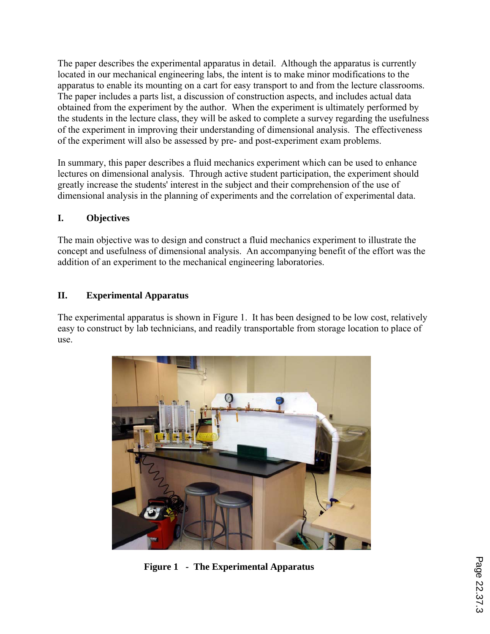The paper describes the experimental apparatus in detail. Although the apparatus is currently located in our mechanical engineering labs, the intent is to make minor modifications to the apparatus to enable its mounting on a cart for easy transport to and from the lecture classrooms. The paper includes a parts list, a discussion of construction aspects, and includes actual data obtained from the experiment by the author. When the experiment is ultimately performed by the students in the lecture class, they will be asked to complete a survey regarding the usefulness of the experiment in improving their understanding of dimensional analysis. The effectiveness of the experiment will also be assessed by pre- and post-experiment exam problems.

In summary, this paper describes a fluid mechanics experiment which can be used to enhance lectures on dimensional analysis. Through active student participation, the experiment should greatly increase the students' interest in the subject and their comprehension of the use of dimensional analysis in the planning of experiments and the correlation of experimental data.

# **I. Objectives**

The main objective was to design and construct a fluid mechanics experiment to illustrate the concept and usefulness of dimensional analysis. An accompanying benefit of the effort was the addition of an experiment to the mechanical engineering laboratories.

# **II. Experimental Apparatus**

The experimental apparatus is shown in Figure 1. It has been designed to be low cost, relatively easy to construct by lab technicians, and readily transportable from storage location to place of use.



 **Figure 1 - The Experimental Apparatus**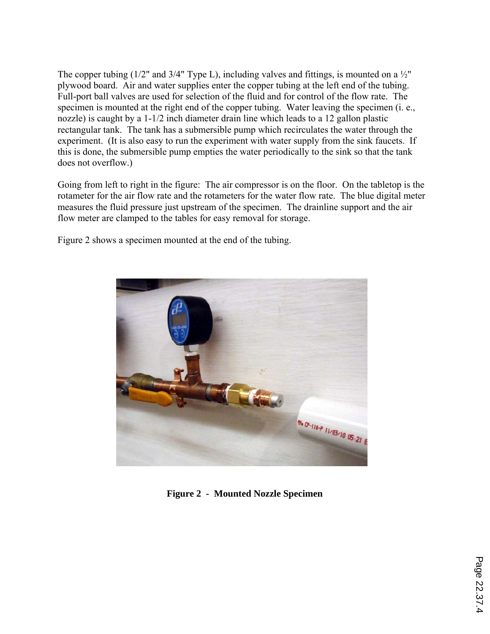The copper tubing (1/2" and 3/4" Type L), including valves and fittings, is mounted on a  $\frac{1}{2}$ " plywood board. Air and water supplies enter the copper tubing at the left end of the tubing. Full-port ball valves are used for selection of the fluid and for control of the flow rate. The specimen is mounted at the right end of the copper tubing. Water leaving the specimen (i. e., nozzle) is caught by a 1-1/2 inch diameter drain line which leads to a 12 gallon plastic rectangular tank. The tank has a submersible pump which recirculates the water through the experiment. (It is also easy to run the experiment with water supply from the sink faucets. If this is done, the submersible pump empties the water periodically to the sink so that the tank does not overflow.)

Going from left to right in the figure: The air compressor is on the floor. On the tabletop is the rotameter for the air flow rate and the rotameters for the water flow rate. The blue digital meter measures the fluid pressure just upstream of the specimen. The drainline support and the air flow meter are clamped to the tables for easy removal for storage.

Figure 2 shows a specimen mounted at the end of the tubing.



**Figure 2 - Mounted Nozzle Specimen**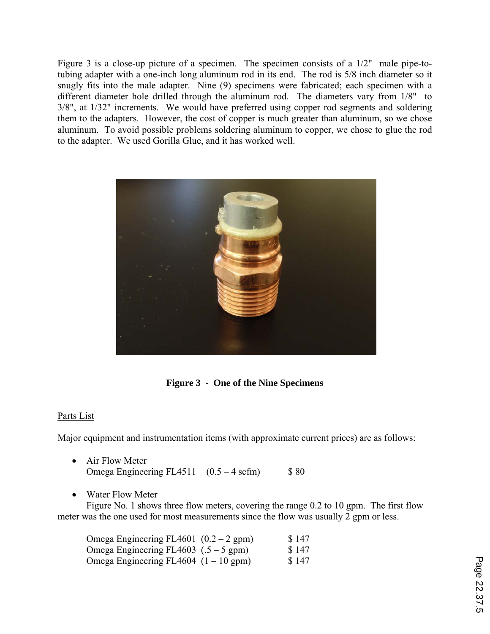Figure 3 is a close-up picture of a specimen. The specimen consists of a 1/2" male pipe-totubing adapter with a one-inch long aluminum rod in its end. The rod is 5/8 inch diameter so it snugly fits into the male adapter. Nine (9) specimens were fabricated; each specimen with a different diameter hole drilled through the aluminum rod. The diameters vary from 1/8" to 3/8", at 1/32" increments. We would have preferred using copper rod segments and soldering them to the adapters. However, the cost of copper is much greater than aluminum, so we chose aluminum. To avoid possible problems soldering aluminum to copper, we chose to glue the rod to the adapter. We used Gorilla Glue, and it has worked well.



**Figure 3 - One of the Nine Specimens** 

#### Parts List

Major equipment and instrumentation items (with approximate current prices) are as follows:

| Air Flow Meter                                    |      |
|---------------------------------------------------|------|
| Omega Engineering FL4511 $(0.5 - 4 \text{ scfm})$ | \$80 |

Water Flow Meter

 Figure No. 1 shows three flow meters, covering the range 0.2 to 10 gpm. The first flow meter was the one used for most measurements since the flow was usually 2 gpm or less.

| Omega Engineering FL4601 $(0.2 - 2$ gpm) | \$147 |
|------------------------------------------|-------|
| Omega Engineering FL4603 $(.5 - 5$ gpm)  | \$147 |
| Omega Engineering FL4604 $(1 – 10$ gpm)  | \$147 |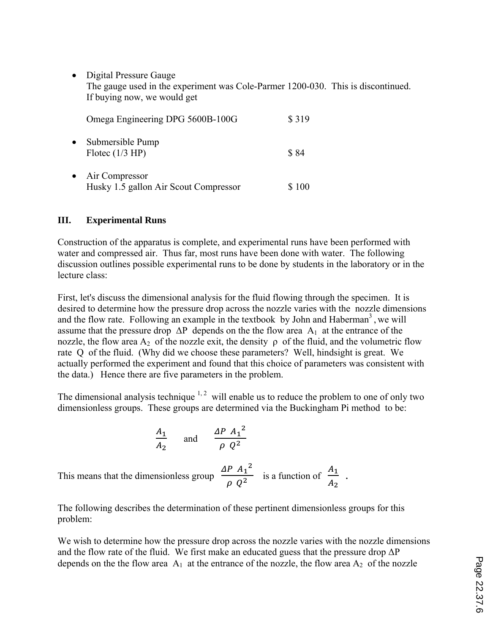Digital Pressure Gauge The gauge used in the experiment was Cole-Parmer 1200-030. This is discontinued. If buying now, we would get

|           | Omega Engineering DPG 5600B-100G                        | \$319 |
|-----------|---------------------------------------------------------|-------|
| $\bullet$ | Submersible Pump<br>Flotec $(1/3$ HP)                   | \$84  |
| $\bullet$ | Air Compressor<br>Husky 1.5 gallon Air Scout Compressor |       |

### **III. Experimental Runs**

Construction of the apparatus is complete, and experimental runs have been performed with water and compressed air. Thus far, most runs have been done with water. The following discussion outlines possible experimental runs to be done by students in the laboratory or in the lecture class:

First, let's discuss the dimensional analysis for the fluid flowing through the specimen. It is desired to determine how the pressure drop across the nozzle varies with the nozzle dimensions and the flow rate. Following an example in the textbook by John and Haberman<sup>3</sup>, we will assume that the pressure drop  $\Delta P$  depends on the the flow area  $A_1$  at the entrance of the nozzle, the flow area  $A_2$  of the nozzle exit, the density  $\rho$  of the fluid, and the volumetric flow rate Q of the fluid. (Why did we choose these parameters? Well, hindsight is great. We actually performed the experiment and found that this choice of parameters was consistent with the data.) Hence there are five parameters in the problem.

The dimensional analysis technique  $1, 2$  will enable us to reduce the problem to one of only two dimensionless groups. These groups are determined via the Buckingham Pi method to be:

$$
\frac{A_1}{A_2} \quad \text{and} \quad \frac{\Delta P A_1^2}{\rho Q^2}
$$

This means that the dimensionless group  $\frac{\Delta P A_1^2}{\Delta P A_1^2}$  $\frac{P A_1^2}{\rho Q^2}$  is a function of  $\frac{A_1}{A_2}$  $A<sub>2</sub>$ .

The following describes the determination of these pertinent dimensionless groups for this problem:

We wish to determine how the pressure drop across the nozzle varies with the nozzle dimensions and the flow rate of the fluid. We first make an educated guess that the pressure drop  $\Delta P$ depends on the the flow area  $A_1$  at the entrance of the nozzle, the flow area  $A_2$  of the nozzle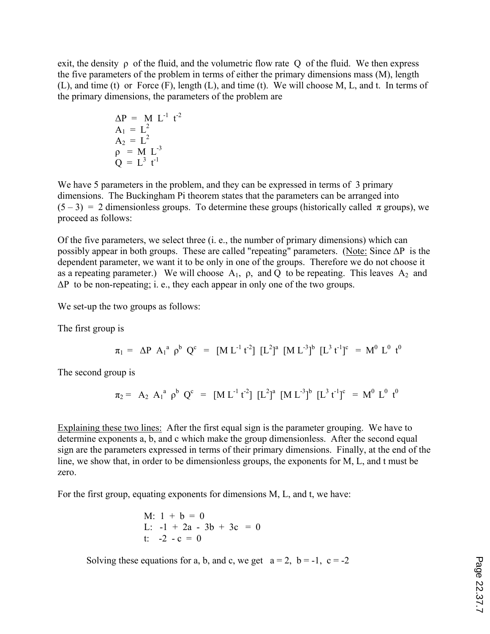exit, the density  $\rho$  of the fluid, and the volumetric flow rate Q of the fluid. We then express the five parameters of the problem in terms of either the primary dimensions mass (M), length (L), and time (t) or Force (F), length (L), and time (t). We will choose M, L, and t. In terms of the primary dimensions, the parameters of the problem are

$$
\Delta P = M L^{-1} t^{-2}
$$
  
\n
$$
A_1 = L^2
$$
  
\n
$$
A_2 = L^2
$$
  
\n
$$
\rho = M L^{-3}
$$
  
\n
$$
Q = L^3 t^{-1}
$$

We have 5 parameters in the problem, and they can be expressed in terms of 3 primary dimensions. The Buckingham Pi theorem states that the parameters can be arranged into  $(5-3) = 2$  dimensionless groups. To determine these groups (historically called  $\pi$  groups), we proceed as follows:

Of the five parameters, we select three (i. e., the number of primary dimensions) which can possibly appear in both groups. These are called "repeating" parameters. (Note: Since ΔP is the dependent parameter, we want it to be only in one of the groups. Therefore we do not choose it as a repeating parameter.) We will choose  $A_1$ ,  $\rho$ , and Q to be repeating. This leaves  $A_2$  and  $\Delta P$  to be non-repeating; i. e., they each appear in only one of the two groups.

We set-up the two groups as follows:

The first group is

$$
\pi_1 = \Delta P A_1^a \rho^b Q^c = [ML^{-1}t^{-2}] [L^2]^a [ML^{-3}]^b [L^3t^{-1}]^c = M^0 L^0 t^0
$$

The second group is

$$
\pi_2 = A_2 A_1^a \rho^b Q^c = [ML^{-1} t^{-2}] [L^2]^a [ML^{-3}]^b [L^3 t^{-1}]^c = M^0 L^0 t^0
$$

Explaining these two lines: After the first equal sign is the parameter grouping. We have to determine exponents a, b, and c which make the group dimensionless. After the second equal sign are the parameters expressed in terms of their primary dimensions. Finally, at the end of the line, we show that, in order to be dimensionless groups, the exponents for M, L, and t must be zero.

For the first group, equating exponents for dimensions M, L, and t, we have:

M: 
$$
1 + b = 0
$$
  
\nL:  $-1 + 2a - 3b + 3c = 0$   
\nt:  $-2 - c = 0$ 

Solving these equations for a, b, and c, we get  $a = 2$ ,  $b = -1$ ,  $c = -2$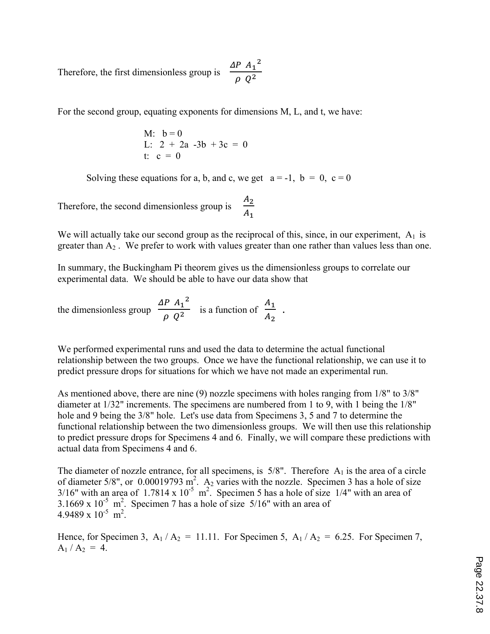Therefore, the first dimensionless group is  $\frac{\Delta P A_1^2}{\Delta P A_1^2}$  $\frac{1}{\rho Q^2}$ 

For the second group, equating exponents for dimensions M, L, and t, we have:

M: 
$$
b=0
$$
  
L:  $2 + 2a -3b + 3c = 0$   
t:  $c = 0$ 

Solving these equations for a, b, and c, we get  $a = -1$ ,  $b = 0$ ,  $c = 0$ 

Therefore, the second dimensionless group is  $\frac{A_2}{A_1}$  $A_1$ 

We will actually take our second group as the reciprocal of this, since, in our experiment,  $A_1$  is greater than  $A_2$ . We prefer to work with values greater than one rather than values less than one.

In summary, the Buckingham Pi theorem gives us the dimensionless groups to correlate our experimental data. We should be able to have our data show that

the dimensionless group  $\frac{\Delta P A_1^2}{\Delta T}$  $\frac{P A_1^2}{\rho Q^2}$  is a function of  $\frac{A_1}{A_2}$  $A<sub>2</sub>$ .

We performed experimental runs and used the data to determine the actual functional relationship between the two groups. Once we have the functional relationship, we can use it to predict pressure drops for situations for which we have not made an experimental run.

As mentioned above, there are nine (9) nozzle specimens with holes ranging from 1/8" to 3/8" diameter at 1/32" increments. The specimens are numbered from 1 to 9, with 1 being the 1/8" hole and 9 being the 3/8" hole. Let's use data from Specimens 3, 5 and 7 to determine the functional relationship between the two dimensionless groups. We will then use this relationship to predict pressure drops for Specimens 4 and 6. Finally, we will compare these predictions with actual data from Specimens 4 and 6.

The diameter of nozzle entrance, for all specimens, is  $5/8$ ". Therefore  $A_1$  is the area of a circle of diameter 5/8", or  $0.00019793 \text{ m}^2$ . A<sub>2</sub> varies with the nozzle. Specimen 3 has a hole of size  $3/16$ " with an area of 1.7814 x  $10^{-5}$  m<sup>2</sup>. Specimen 5 has a hole of size 1/4" with an area of 3.1669 x  $10^{-5}$  m<sup>2</sup>. Specimen 7 has a hole of size 5/16" with an area of  $4.9489 \times 10^{-5}$  m<sup>2</sup>.

Hence, for Specimen 3,  $A_1 / A_2 = 11.11$ . For Specimen 5,  $A_1 / A_2 = 6.25$ . For Specimen 7,  $A_1 / A_2 = 4.$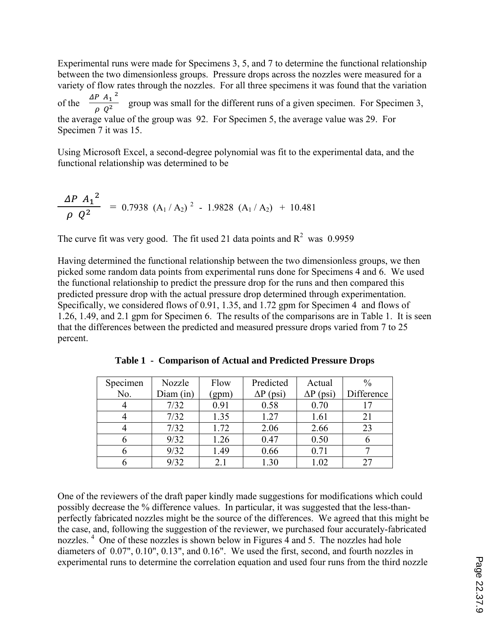Experimental runs were made for Specimens 3, 5, and 7 to determine the functional relationship between the two dimensionless groups. Pressure drops across the nozzles were measured for a variety of flow rates through the nozzles. For all three specimens it was found that the variation of the  $\frac{\Delta P A_1^2}{\rho Q^2}$  group was small for the different runs of a given specimen. For Specimen 3, the average value of the group was 92. For Specimen 5, the average value was 29. For Specimen 7 it was 15.

Using Microsoft Excel, a second-degree polynomial was fit to the experimental data, and the functional relationship was determined to be

$$
\frac{\Delta P A_1^2}{\rho Q^2} = 0.7938 (A_1/A_2)^2 - 1.9828 (A_1/A_2) + 10.481
$$

The curve fit was very good. The fit used 21 data points and  $R^2$  was 0.9959

Having determined the functional relationship between the two dimensionless groups, we then picked some random data points from experimental runs done for Specimens 4 and 6. We used the functional relationship to predict the pressure drop for the runs and then compared this predicted pressure drop with the actual pressure drop determined through experimentation. Specifically, we considered flows of 0.91, 1.35, and 1.72 gpm for Specimen 4 and flows of 1.26, 1.49, and 2.1 gpm for Specimen 6. The results of the comparisons are in Table 1. It is seen that the differences between the predicted and measured pressure drops varied from 7 to 25 percent.

| Specimen | Nozzle    | Flow  | Predicted        | Actual           | $\frac{0}{0}$ |
|----------|-----------|-------|------------------|------------------|---------------|
| No.      | Diam (in) | (gpm) | $\Delta P$ (psi) | $\Delta P$ (psi) | Difference    |
|          | 7/32      | 0.91  | 0.58             | 0.70             |               |
|          | 7/32      | 1.35  | 1.27             | 1.61             | 21            |
|          | 7/32      | 1.72  | 2.06             | 2.66             | 23            |
|          | 9/32      | 1.26  | 0.47             | 0.50             |               |
|          | 9/32      | 1.49  | 0.66             | 0.71             |               |
|          | 9/32      | 2.1   | 1.30             | 1.02             |               |

**Table 1 - Comparison of Actual and Predicted Pressure Drops** 

One of the reviewers of the draft paper kindly made suggestions for modifications which could possibly decrease the % difference values. In particular, it was suggested that the less-thanperfectly fabricated nozzles might be the source of the differences. We agreed that this might be the case, and, following the suggestion of the reviewer, we purchased four accurately-fabricated nozzles.<sup>4</sup> One of these nozzles is shown below in Figures 4 and 5. The nozzles had hole diameters of 0.07", 0.10", 0.13", and 0.16". We used the first, second, and fourth nozzles in experimental runs to determine the correlation equation and used four runs from the third nozzle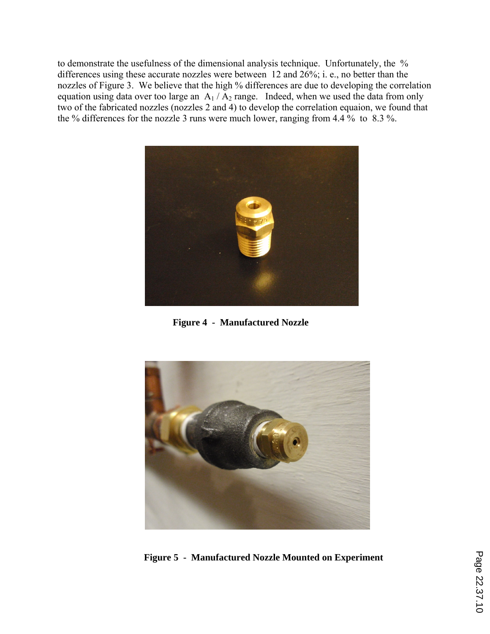to demonstrate the usefulness of the dimensional analysis technique. Unfortunately, the % differences using these accurate nozzles were between 12 and 26%; i. e., no better than the nozzles of Figure 3. We believe that the high % differences are due to developing the correlation equation using data over too large an  $A_1 / A_2$  range. Indeed, when we used the data from only two of the fabricated nozzles (nozzles 2 and 4) to develop the correlation equaion, we found that the % differences for the nozzle 3 runs were much lower, ranging from 4.4 % to 8.3 %.



**Figure 4 - Manufactured Nozzle** 



**Figure 5 - Manufactured Nozzle Mounted on Experiment**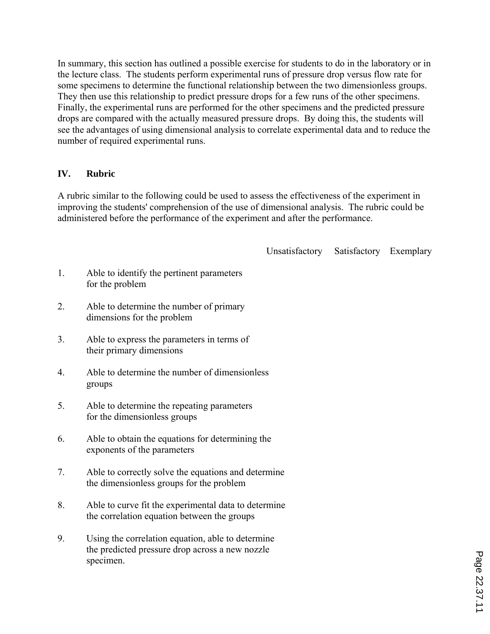In summary, this section has outlined a possible exercise for students to do in the laboratory or in the lecture class. The students perform experimental runs of pressure drop versus flow rate for some specimens to determine the functional relationship between the two dimensionless groups. They then use this relationship to predict pressure drops for a few runs of the other specimens. Finally, the experimental runs are performed for the other specimens and the predicted pressure drops are compared with the actually measured pressure drops. By doing this, the students will see the advantages of using dimensional analysis to correlate experimental data and to reduce the number of required experimental runs.

### **IV. Rubric**

A rubric similar to the following could be used to assess the effectiveness of the experiment in improving the students' comprehension of the use of dimensional analysis. The rubric could be administered before the performance of the experiment and after the performance.

Unsatisfactory Satisfactory Exemplary

- 1. Able to identify the pertinent parameters for the problem
- 2. Able to determine the number of primary dimensions for the problem
- 3. Able to express the parameters in terms of their primary dimensions
- 4. Able to determine the number of dimensionless groups
- 5. Able to determine the repeating parameters for the dimensionless groups
- 6. Able to obtain the equations for determining the exponents of the parameters
- 7. Able to correctly solve the equations and determine the dimensionless groups for the problem
- 8. Able to curve fit the experimental data to determine the correlation equation between the groups
- 9. Using the correlation equation, able to determine the predicted pressure drop across a new nozzle specimen.